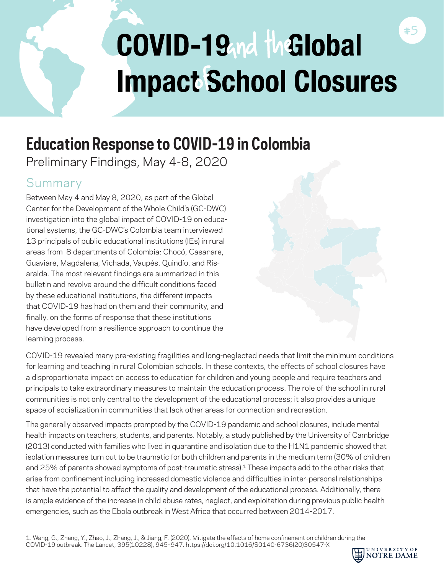# COVID-19md the Global **Impact School Closures**

## **Education Response to COVID-19 in Colombia**

Preliminary Findings, May 4-8, 2020

## Summary

Between May 4 and May 8, 2020, as part of the Global Center for the Development of the Whole Child's (GC-DWC) investigation into the global impact of COVID-19 on educational systems, the GC-DWC's Colombia team interviewed 13 principals of public educational institutions (IEs) in rural areas from 8 departments of Colombia: Chocó, Casanare, Guaviare, Magdalena, Vichada, Vaupés, Quindío, and Risaralda. The most relevant findings are summarized in this bulletin and revolve around the difficult conditions faced by these educational institutions, the different impacts that COVID-19 has had on them and their community, and finally, on the forms of response that these institutions have developed from a resilience approach to continue the learning process.

COVID-19 revealed many pre-existing fragilities and long-neglected needs that limit the minimum conditions for learning and teaching in rural Colombian schools. In these contexts, the effects of school closures have a disproportionate impact on access to education for children and young people and require teachers and principals to take extraordinary measures to maintain the education process. The role of the school in rural communities is not only central to the development of the educational process; it also provides a unique space of socialization in communities that lack other areas for connection and recreation.

The generally observed impacts prompted by the COVID-19 pandemic and school closures, include mental health impacts on teachers, students, and parents. Notably, a study published by the University of Cambridge (2013) conducted with families who lived in quarantine and isolation due to the H1N1 pandemic showed that isolation measures turn out to be traumatic for both children and parents in the medium term (30% of children and 25% of parents showed symptoms of post-traumatic stress).<sup>1</sup> These impacts add to the other risks that arise from confinement including increased domestic violence and difficulties in inter-personal relationships that have the potential to affect the quality and development of the educational process. Additionally, there is ample evidence of the increase in child abuse rates, neglect, and exploitation during previous public health emergencies, such as the Ebola outbreak in West Africa that occurred between 2014-2017.



#5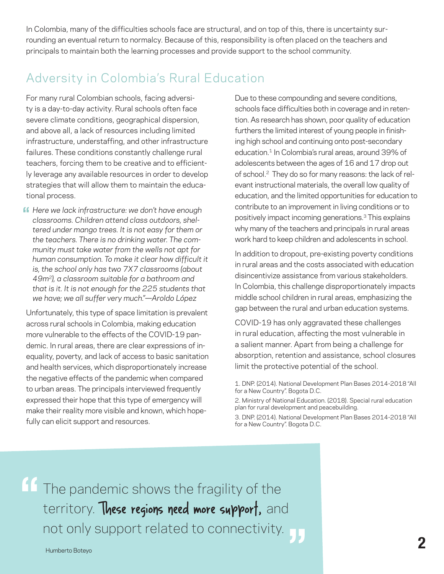In Colombia, many of the difficulties schools face are structural, and on top of this, there is uncertainty surrounding an eventual return to normalcy. Because of this, responsibility is often placed on the teachers and principals to maintain both the learning processes and provide support to the school community.

## Adversity in Colombia's Rural Education

For many rural Colombian schools, facing adversity is a day-to-day activity. Rural schools often face severe climate conditions, geographical dispersion, and above all, a lack of resources including limited infrastructure, understaffing, and other infrastructure failures. These conditions constantly challenge rural teachers, forcing them to be creative and to efficiently leverage any available resources in order to develop strategies that will allow them to maintain the educational process.

**ff** Here we lack infrastructure: we don't have enough classrooms. Children attend class outdoors. shel*classrooms. Children attend class outdoors, sheltered under mango trees. It is not easy for them or the teachers. There is no drinking water. The community must take water from the wells not apt for human consumption. To make it clear how difficult it is, the school only has two 7X7 classrooms (about 49m2), a classroom suitable for a bathroom and that is it. It is not enough for the 225 students that we have; we all suffer very much."—Aroldo López* 

Unfortunately, this type of space limitation is prevalent across rural schools in Colombia, making education more vulnerable to the effects of the COVID-19 pandemic. In rural areas, there are clear expressions of inequality, poverty, and lack of access to basic sanitation and health services, which disproportionately increase the negative effects of the pandemic when compared to urban areas. The principals interviewed frequently expressed their hope that this type of emergency will make their reality more visible and known, which hopefully can elicit support and resources.

Due to these compounding and severe conditions, schools face difficulties both in coverage and in retention. As research has shown, poor quality of education furthers the limited interest of young people in finishing high school and continuing onto post-secondary education.<sup>1</sup> In Colombia's rural areas, around 39% of adolescents between the ages of 16 and 17 drop out of school.2 They do so for many reasons: the lack of relevant instructional materials, the overall low quality of education, and the limited opportunities for education to contribute to an improvement in living conditions or to positively impact incoming generations.3 This explains why many of the teachers and principals in rural areas work hard to keep children and adolescents in school.

In addition to dropout, pre-existing poverty conditions in rural areas and the costs associated with education disincentivize assistance from various stakeholders. In Colombia, this challenge disproportionately impacts middle school children in rural areas, emphasizing the gap between the rural and urban education systems.

COVID-19 has only aggravated these challenges in rural education, affecting the most vulnerable in a salient manner. Apart from being a challenge for absorption, retention and assistance, school closures limit the protective potential of the school.

1. DNP. (2014). National Development Plan Bases 2014-2018 "All for a New Country". Bogota D.C.

2. Ministry of National Education. (2018). Special rural education plan for rural development and peacebuilding.

3. DNP. (2014). National Development Plan Bases 2014-2018 "All for a New Country". Bogota D.C.

**" "** The pandemic shows the fragility of the territory. These regions need more support, and not only support related to connectivity.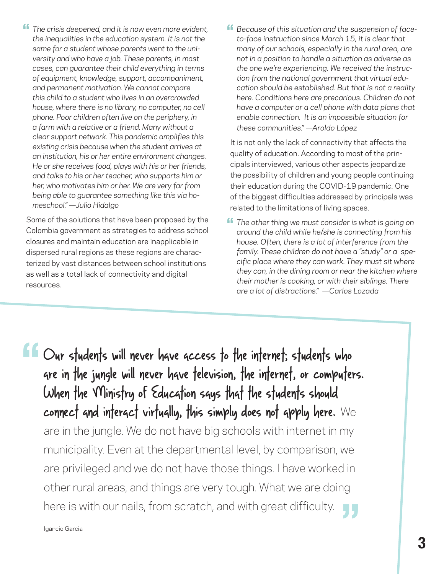**'f** The crisis deepened, and it is now even more evident,<br>
the inequalities in the education system It is not the *the inequalities in the education system. It is not the same for a student whose parents went to the university and who have a job. These parents, in most cases, can guarantee their child everything in terms of equipment, knowledge, support, accompaniment, and permanent motivation. We cannot compare this child to a student who lives in an overcrowded house, where there is no library, no computer, no cell phone. Poor children often live on the periphery, in a farm with a relative or a friend. Many without a clear support network. This pandemic amplifies this existing crisis because when the student arrives at an institution, his or her entire environment changes. He or she receives food, plays with his or her friends, and talks to his or her teacher, who supports him or her, who motivates him or her. We are very far from being able to guarantee something like this via homeschool." —Julio Hidalgo* 

Some of the solutions that have been proposed by the Colombia government as strategies to address school closures and maintain education are inapplicable in dispersed rural regions as these regions are characterized by vast distances between school institutions as well as a total lack of connectivity and digital resources.

*Because of this situation and the suspension of faceto-face instruction since March 15, it is clear that many of our schools, especially in the rural area, are not in a position to handle a situation as adverse as the one we're experiencing. We received the instruction from the national government that virtual education should be established. But that is not a reality here. Conditions here are precarious. Children do not have a computer or a cell phone with data plans that enable connection. It is an impossible situation for these communities." —Aroldo López*

It is not only the lack of connectivity that affects the quality of education. According to most of the principals interviewed, various other aspects jeopardize the possibility of children and young people continuing their education during the COVID-19 pandemic. One of the biggest difficulties addressed by principals was related to the limitations of living spaces.

**f** The other thing we must consider is what is going on<br>
around the child while he/she is connecting from his *around the child while he/she is connecting from his house. Often, there is a lot of interference from the family. These children do not have a "study" or a specific place where they can work. They must sit where they can, in the dining room or near the kitchen where their mother is cooking, or with their siblings. There are a lot of distractions." —Carlos Lozada*

Our students will never have access to the internet; students who are in the jungle will never have television, the internet, or computers. When the Ministry of Education says that the students should connect and interact virtually, this simply does not apply here. We are in the jungle. We do not have big schools with internet in my municipality. Even at the departmental level, by comparison, we are privileged and we do not have those things. I have worked in other rural areas, and things are very tough. What we are doing here is with our nails, from scratch, and with great difficulty. **" "**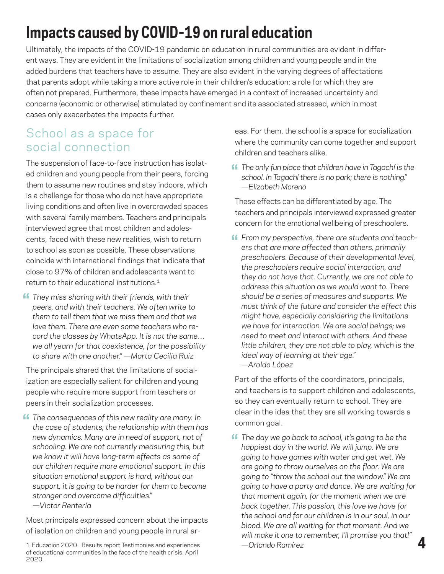## **Impacts caused by COVID-19 on rural education**

Ultimately, the impacts of the COVID-19 pandemic on education in rural communities are evident in different ways. They are evident in the limitations of socialization among children and young people and in the added burdens that teachers have to assume. They are also evident in the varying degrees of affectations that parents adopt while taking a more active role in their children's education: a role for which they are often not prepared. Furthermore, these impacts have emerged in a context of increased uncertainty and concerns (economic or otherwise) stimulated by confinement and its associated stressed, which in most cases only exacerbates the impacts further.

#### School as a space for social connection

The suspension of face-to-face instruction has isolated children and young people from their peers, forcing them to assume new routines and stay indoors, which is a challenge for those who do not have appropriate living conditions and often live in overcrowded spaces with several family members. Teachers and principals interviewed agree that most children and adolescents, faced with these new realities, wish to return to school as soon as possible. These observations coincide with international findings that indicate that close to 97% of children and adolescents want to return to their educational institutions.<sup>1</sup>

**f** They miss sharing with their friends, with their<br>peers and with their teachers We often write t *peers, and with their teachers. We often write to them to tell them that we miss them and that we love them. There are even some teachers who record the classes by WhatsApp. It is not the same… we all yearn for that coexistence, for the possibility to share with one another." —Marta Cecilia Ruiz*

The principals shared that the limitations of socialization are especially salient for children and young people who require more support from teachers or peers in their socialization processes.

**ff** The consequences of this new reality are many. In the case of students, the relationship with them ho *the case of students, the relationship with them has new dynamics. Many are in need of support, not of schooling. We are not currently measuring this, but we know it will have long-term effects as some of our children require more emotional support. In this situation emotional support is hard, without our support, it is going to be harder for them to become stronger and overcome difficulties." —Victor Rentería*

Most principals expressed concern about the impacts of isolation on children and young people in rural areas. For them, the school is a space for socialization where the community can come together and support children and teachers alike.

**ff** The only fun place that children have in Tagachí is the school. In Tagachí there is no park: there is nothing." *school. In Tagachí there is no park; there is nothing." —Elizabeth Moreno* 

These effects can be differentiated by age. The teachers and principals interviewed expressed greater concern for the emotional wellbeing of preschoolers.

**ff** From my perspective, there are students and teachers that are more affected than others, primarily *ers that are more affected than others, primarily preschoolers. Because of their developmental level, the preschoolers require social interaction, and they do not have that. Currently, we are not able to address this situation as we would want to. There should be a series of measures and supports. We must think of the future and consider the effect this might have, especially considering the limitations we have for interaction. We are social beings; we need to meet and interact with others. And these little children, they are not able to play, which is the ideal way of learning at their age." —Aroldo López*

Part of the efforts of the coordinators, principals, and teachers is to support children and adolescents, so they can eventually return to school. They are clear in the idea that they are all working towards a common goal.

**ff** The day we go back to school, it's going to be the happiest day in the world. We will jump. We are *happiest day in the world. We will jump. We are going to have games with water and get wet. We are going to throw ourselves on the floor. We are going to "throw the school out the window." We are going to have a party and dance. We are waiting for that moment again, for the moment when we are back together. This passion, this love we have for the school and for our children is in our soul, in our blood. We are all waiting for that moment. And we will make it one to remember, I'll promise you that!" —Orlando Ramírez*

**4**

<sup>1.</sup>Education 2020. Results report Testimonies and experiences of educational communities in the face of the health crisis. April 2020.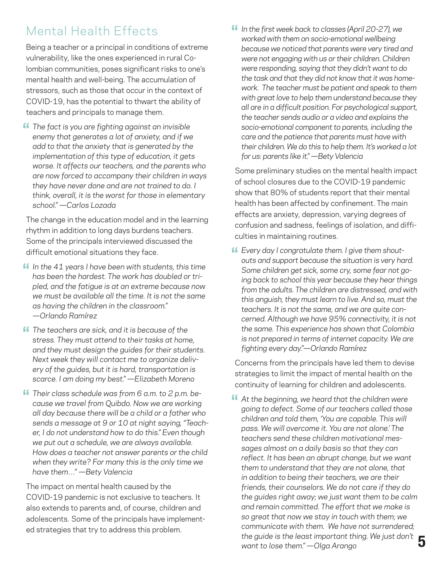#### Mental Health Effects

Being a teacher or a principal in conditions of extreme vulnerability, like the ones experienced in rural Colombian communities, poses significant risks to one's mental health and well-being. The accumulation of stressors, such as those that occur in the context of COVID-19, has the potential to thwart the ability of teachers and principals to manage them.

**f** The fact is you are fighting against an invisible<br>enemy that generates a lot of anxiety and if we *enemy that generates a lot of anxiety, and if we add to that the anxiety that is generated by the implementation of this type of education, it gets worse. It affects our teachers, and the parents who are now forced to accompany their children in ways they have never done and are not trained to do. I think, overall, it is the worst for those in elementary school." —Carlos Lozada*

The change in the education model and in the learning rhythm in addition to long days burdens teachers. Some of the principals interviewed discussed the difficult emotional situations they face.

- **1** In the 41 years I have been with students, this time has been the hardest. The work has doubled or tri*has been the hardest. The work has doubled or tripled, and the fatigue is at an extreme because now we must be available all the time. It is not the same as having the children in the classroom." —Orlando Ramírez*
- **f** The teachers are sick, and it is because of the stress. They must attend to their tasks at home *stress. They must attend to their tasks at home, and they must design the guides for their students. Next week they will contact me to organize delivery of the guides, but it is hard, transportation is scarce. I am doing my best." —Elizabeth Moreno*
- **f** Their class schedule was from 6 a.m. to 2 p.m. be-<br>cause we travel from Quibdo Now we are working *cause we travel from Quibdo. Now we are working all day because there will be a child or a father who sends a message at 9 or 10 at night saying, "Teacher, I do not understand how to do this." Even though we put out a schedule, we are always available. How does a teacher not answer parents or the child when they write? For many this is the only time we have them…" —Bety Valencia*

The impact on mental health caused by the COVID-19 pandemic is not exclusive to teachers. It also extends to parents and, of course, children and adolescents. Some of the principals have implemented strategies that try to address this problem.

**If** In the first week back to classes (April 20-27), we worked with them on socio-emotional wellbeing *worked with them on socio-emotional wellbeing because we noticed that parents were very tired and were not engaging with us or their children. Children were responding, saying that they didn't want to do the task and that they did not know that it was homework. The teacher must be patient and speak to them with great love to help them understand because they all are in a difficult position. For psychological support, the teacher sends audio or a video and explains the socio-emotional component to parents, including the care and the patience that parents must have with their children. We do this to help them. It's worked a lot for us: parents like it." —Bety Valencia*

Some preliminary studies on the mental health impact of school closures due to the COVID-19 pandemic show that 80% of students report that their mental health has been affected by confinement. The main effects are anxiety, depression, varying degrees of confusion and sadness, feelings of isolation, and difficulties in maintaining routines.

**ff** Every day I congratulate them. I give them shout-<br>outs and support because the situation is very ho *outs and support because the situation is very hard. Some children get sick, some cry, some fear not going back to school this year because they hear things from the adults. The children are distressed, and with this anguish, they must learn to live. And so, must the teachers. It is not the same, and we are quite concerned. Although we have 95% connectivity, it is not the same. This experience has shown that Colombia is not prepared in terms of internet capacity. We are fighting every day."—Orlando Ramírez*

Concerns from the principals have led them to devise strategies to limit the impact of mental health on the continuity of learning for children and adolescents.

**5 At the beginning, we heard that the children were<br>coing to defect. Some of our teachers called those** *going to defect. Some of our teachers called those children and told them, 'You are capable. This will pass. We will overcome it. You are not alone.' The teachers send these children motivational messages almost on a daily basis so that they can reflect. It has been an abrupt change, but we want them to understand that they are not alone, that in addition to being their teachers, we are their friends, their counselors. We do not care if they do the guides right away; we just want them to be calm and remain committed. The effort that we make is so great that now we stay in touch with them; we communicate with them. We have not surrendered; the guide is the least important thing. We just don't want to lose them." —Olga Arango*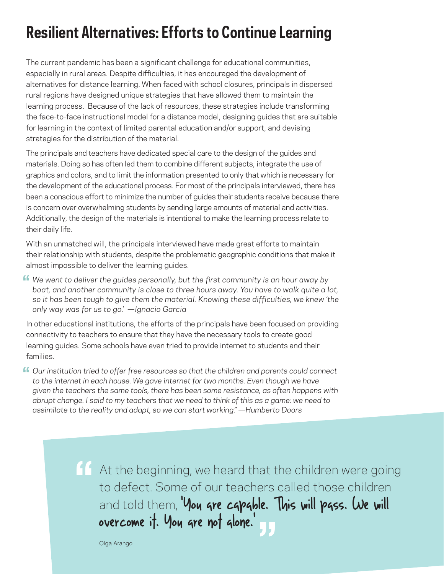## **Resilient Alternatives: Efforts to Continue Learning**

The current pandemic has been a significant challenge for educational communities, especially in rural areas. Despite difficulties, it has encouraged the development of alternatives for distance learning. When faced with school closures, principals in dispersed rural regions have designed unique strategies that have allowed them to maintain the learning process. Because of the lack of resources, these strategies include transforming the face-to-face instructional model for a distance model, designing guides that are suitable for learning in the context of limited parental education and/or support, and devising strategies for the distribution of the material.

The principals and teachers have dedicated special care to the design of the guides and materials. Doing so has often led them to combine different subjects, integrate the use of graphics and colors, and to limit the information presented to only that which is necessary for the development of the educational process. For most of the principals interviewed, there has been a conscious effort to minimize the number of guides their students receive because there is concern over overwhelming students by sending large amounts of material and activities. Additionally, the design of the materials is intentional to make the learning process relate to their daily life.

With an unmatched will, the principals interviewed have made great efforts to maintain their relationship with students, despite the problematic geographic conditions that make it almost impossible to deliver the learning guides.

**"** We went to deliver the guides personally, but the first community is an hour away by beat and apather community is close to three bours away. You have to walk auto a l *boat, and another community is close to three hours away. You have to walk quite a lot, so it has been tough to give them the material. Knowing these difficulties, we knew 'the only way was for us to go.' —Ignacio Garcia* 

In other educational institutions, the efforts of the principals have been focused on providing connectivity to teachers to ensure that they have the necessary tools to create good learning guides. Some schools have even tried to provide internet to students and their families.

*Our institution tried to offer free resources so that the children and parents could connect*  **"**to the internet in each house. We gave internet for two months. Even though we have *given the teachers the same tools, there has been some resistance, as often happens with abrupt change. I said to my teachers that we need to think of this as a game: we need to assimilate to the reality and adapt, so we can start working." —Humberto Doors*

> At the beginning, we heard that the children were going to defect. Some of our teachers called those children and told them, 'You are capable. This will pass. We will overcome it. You are not alone.' **"** e.<br><mark>JJ</mark>

Olga Arango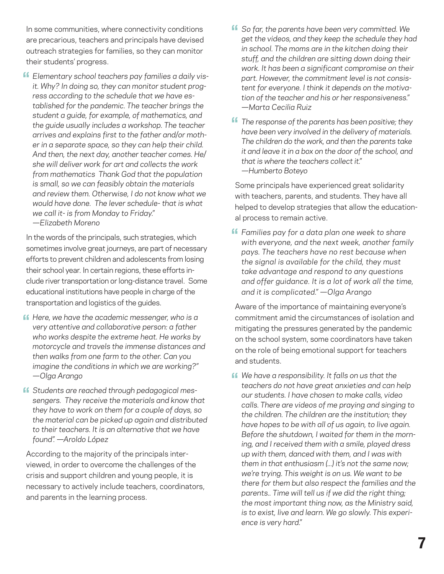In some communities, where connectivity conditions are precarious, teachers and principals have devised outreach strategies for families, so they can monitor their students' progress.

*Elementary school teachers pay families a daily vis-***"** *it. Why? In doing so, they can monitor student progress according to the schedule that we have established for the pandemic. The teacher brings the student a guide, for example, of mathematics, and the guide usually includes a workshop. The teacher arrives and explains first to the father and/or mother in a separate space, so they can help their child. And then, the next day, another teacher comes. He/ she will deliver work for art and collects the work from mathematics Thank God that the population is small, so we can feasibly obtain the materials and review them. Otherwise, I do not know what we would have done. The lever schedule- that is what we call it- is from Monday to Friday." —Elizabeth Moreno*

In the words of the principals, such strategies, which sometimes involve great journeys, are part of necessary efforts to prevent children and adolescents from losing their school year. In certain regions, these efforts include river transportation or long-distance travel. Some educational institutions have people in charge of the transportation and logistics of the guides.

- **f** Here, we have the academic messenger, who is a very attentive and collaborative person: a father *very attentive and collaborative person: a father who works despite the extreme heat. He works by motorcycle and travels the immense distances and then walks from one farm to the other. Can you imagine the conditions in which we are working?" —Olga Arango*
- *Students are reached through pedagogical mes-***"** *sengers. They receive the materials and know that they have to work on them for a couple of days, so the material can be picked up again and distributed to their teachers. It is an alternative that we have found". —Aroldo López*

According to the majority of the principals interviewed, in order to overcome the challenges of the crisis and support children and young people, it is necessary to actively include teachers, coordinators, and parents in the learning process.

- **f** So far, the parents have been very committed. We aet the videos and they keep the schedule they ho *get the videos, and they keep the schedule they had in school. The moms are in the kitchen doing their stuff, and the children are sitting down doing their work. It has been a significant compromise on their part. However, the commitment level is not consistent for everyone. I think it depends on the motivation of the teacher and his or her responsiveness." —Marta Cecilia Ruiz*
- **f** The response of the parents has been positive; they have been very involved in the delivery of materials *have been very involved in the delivery of materials. The children do the work, and then the parents take it and leave it in a box on the door of the school, and that is where the teachers collect it." —Humberto Boteyo*

Some principals have experienced great solidarity with teachers, parents, and students. They have all helped to develop strategies that allow the educational process to remain active.

*Families pay for a data plan one week to share*  **"***with everyone, and the next week, another family pays. The teachers have no rest because when the signal is available for the child, they must take advantage and respond to any questions and offer guidance. It is a lot of work all the time, and it is complicated." —Olga Arango*

Aware of the importance of maintaining everyone's commitment amid the circumstances of isolation and mitigating the pressures generated by the pandemic on the school system, some coordinators have taken on the role of being emotional support for teachers and students.

**4** We have a responsibility. It falls on us that the teachers do not have great anxieties and can l *teachers do not have great anxieties and can help our students. I have chosen to make calls, video calls. There are videos of me praying and singing to the children. The children are the institution; they have hopes to be with all of us again, to live again. Before the shutdown, I waited for them in the morning, and I received them with a smile, played dress up with them, danced with them, and I was with them in that enthusiasm (...) it's not the same now; we're trying. This weight is on us. We want to be there for them but also respect the families and the parents.. Time will tell us if we did the right thing; the most important thing now, as the Ministry said, is to exist, live and learn. We go slowly. This experience is very hard."*